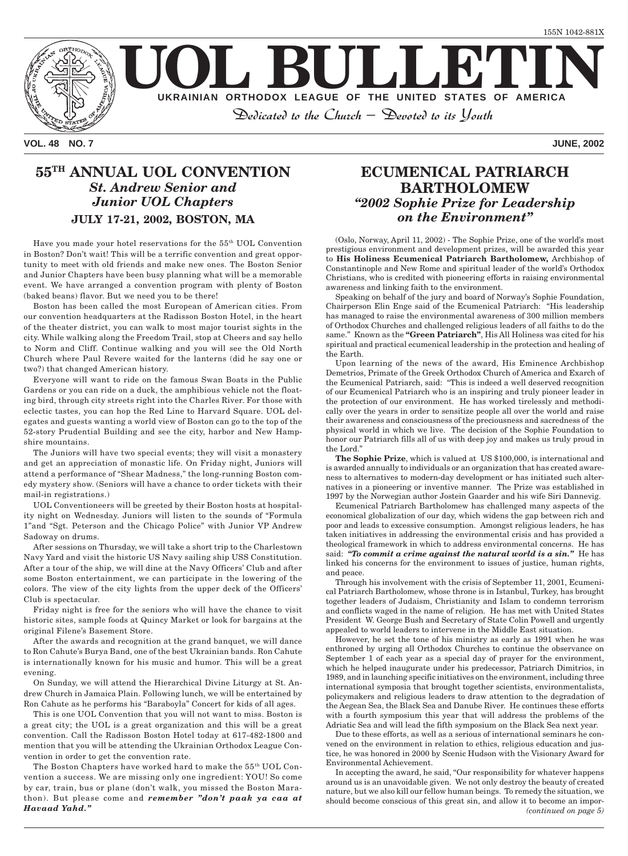

**VOL. 48 NO. 7 JUNE, 2002**

### **55TH ANNUAL UOL CONVENTION** *St. Andrew Senior and Junior UOL Chapters* **JULY 17-21, 2002, BOSTON, MA**

Have you made your hotel reservations for the 55th UOL Convention in Boston? Don't wait! This will be a terrific convention and great opportunity to meet with old friends and make new ones. The Boston Senior and Junior Chapters have been busy planning what will be a memorable event. We have arranged a convention program with plenty of Boston (baked beans) flavor. But we need you to be there!

Boston has been called the most European of American cities. From our convention headquarters at the Radisson Boston Hotel, in the heart of the theater district, you can walk to most major tourist sights in the city. While walking along the Freedom Trail, stop at Cheers and say hello to Norm and Cliff. Continue walking and you will see the Old North Church where Paul Revere waited for the lanterns (did he say one or two?) that changed American history.

Everyone will want to ride on the famous Swan Boats in the Public Gardens or you can ride on a duck, the amphibious vehicle not the floating bird, through city streets right into the Charles River. For those with eclectic tastes, you can hop the Red Line to Harvard Square. UOL delegates and guests wanting a world view of Boston can go to the top of the 52-story Prudential Building and see the city, harbor and New Hampshire mountains.

The Juniors will have two special events; they will visit a monastery and get an appreciation of monastic life. On Friday night, Juniors will attend a performance of "Shear Madness," the long-running Boston comedy mystery show. (Seniors will have a chance to order tickets with their mail-in registrations.)

UOL Conventioneers will be greeted by their Boston hosts at hospitality night on Wednesday. Juniors will listen to the sounds of "Formula 1"and "Sgt. Peterson and the Chicago Police" with Junior VP Andrew Sadoway on drums.

After sessions on Thursday, we will take a short trip to the Charlestown Navy Yard and visit the historic US Navy sailing ship USS Constitution. After a tour of the ship, we will dine at the Navy Officers' Club and after some Boston entertainment, we can participate in the lowering of the colors. The view of the city lights from the upper deck of the Officers' Club is spectacular.

Friday night is free for the seniors who will have the chance to visit historic sites, sample foods at Quincy Market or look for bargains at the original Filene's Basement Store.

After the awards and recognition at the grand banquet, we will dance to Ron Cahute's Burya Band, one of the best Ukrainian bands. Ron Cahute is internationally known for his music and humor. This will be a great evening.

On Sunday, we will attend the Hierarchical Divine Liturgy at St. Andrew Church in Jamaica Plain. Following lunch, we will be entertained by Ron Cahute as he performs his "Baraboyla" Concert for kids of all ages.

This is one UOL Convention that you will not want to miss. Boston is a great city; the UOL is a great organization and this will be a great convention. Call the Radisson Boston Hotel today at 617-482-1800 and mention that you will be attending the Ukrainian Orthodox League Convention in order to get the convention rate.

The Boston Chapters have worked hard to make the 55th UOL Convention a success. We are missing only one ingredient: YOU! So come by car, train, bus or plane (don't walk, you missed the Boston Marathon). But please come and *remember "don't paak ya caa at Havaad Yahd."*

### **ECUMENICAL PATRIARCH BARTHOLOMEW** *"2002 Sophie Prize for Leadership on the Environment"*

(Oslo, Norway, April 11, 2002) - The Sophie Prize, one of the world's most prestigious environment and development prizes, will be awarded this year to **His Holiness Ecumenical Patriarch Bartholomew,** Archbishop of Constantinople and New Rome and spiritual leader of the world's Orthodox Christians, who is credited with pioneering efforts in raising environmental awareness and linking faith to the environment.

Speaking on behalf of the jury and board of Norway's Sophie Foundation, Chairperson Elin Enge said of the Ecumenical Patriarch: "His leadership has managed to raise the environmental awareness of 300 million members of Orthodox Churches and challenged religious leaders of all faiths to do the same." Known as the **"Green Patriarch"**, His All Holiness was cited for his spiritual and practical ecumenical leadership in the protection and healing of the Earth.

Upon learning of the news of the award, His Eminence Archbishop Demetrios, Primate of the Greek Orthodox Church of America and Exarch of the Ecumenical Patriarch, said: "This is indeed a well deserved recognition of our Ecumenical Patriarch who is an inspiring and truly pioneer leader in the protection of our environment. He has worked tirelessly and methodically over the years in order to sensitize people all over the world and raise their awareness and consciousness of the preciousness and sacredness of the physical world in which we live. The decision of the Sophie Foundation to honor our Patriarch fills all of us with deep joy and makes us truly proud in the Lord."

**The Sophie Prize**, which is valued at US \$100,000, is international and is awarded annually to individuals or an organization that has created awareness to alternatives to modern-day development or has initiated such alternatives in a pioneering or inventive manner. The Prize was established in 1997 by the Norwegian author Jostein Gaarder and his wife Siri Dannevig.

Ecumenical Patriarch Bartholomew has challenged many aspects of the economical globalization of our day, which widens the gap between rich and poor and leads to excessive consumption. Amongst religious leaders, he has taken initiatives in addressing the environmental crisis and has provided a theological framework in which to address environmental concerns. He has said: *"To commit a crime against the natural world is a sin."* He has linked his concerns for the environment to issues of justice, human rights, and peace.

Through his involvement with the crisis of September 11, 2001, Ecumenical Patriarch Bartholomew, whose throne is in Istanbul, Turkey, has brought together leaders of Judaism, Christianity and Islam to condemn terrorism and conflicts waged in the name of religion. He has met with United States President W. George Bush and Secretary of State Colin Powell and urgently appealed to world leaders to intervene in the Middle East situation.

However, he set the tone of his ministry as early as 1991 when he was enthroned by urging all Orthodox Churches to continue the observance on September 1 of each year as a special day of prayer for the environment, which he helped inaugurate under his predecessor, Patriarch Dimitrios, in 1989, and in launching specific initiatives on the environment, including three international symposia that brought together scientists, environmentalists, policymakers and religious leaders to draw attention to the degradation of the Aegean Sea, the Black Sea and Danube River. He continues these efforts with a fourth symposium this year that will address the problems of the Adriatic Sea and will lead the fifth symposium on the Black Sea next year.

Due to these efforts, as well as a serious of international seminars he convened on the environment in relation to ethics, religious education and justice, he was honored in 2000 by Scenic Hudson with the Visionary Award for Environmental Achievement.

In accepting the award, he said, "Our responsibility for whatever happens around us is an unavoidable given. We not only destroy the beauty of created nature, but we also kill our fellow human beings. To remedy the situation, we should become conscious of this great sin, and allow it to become an impor- *(continued on page 5)*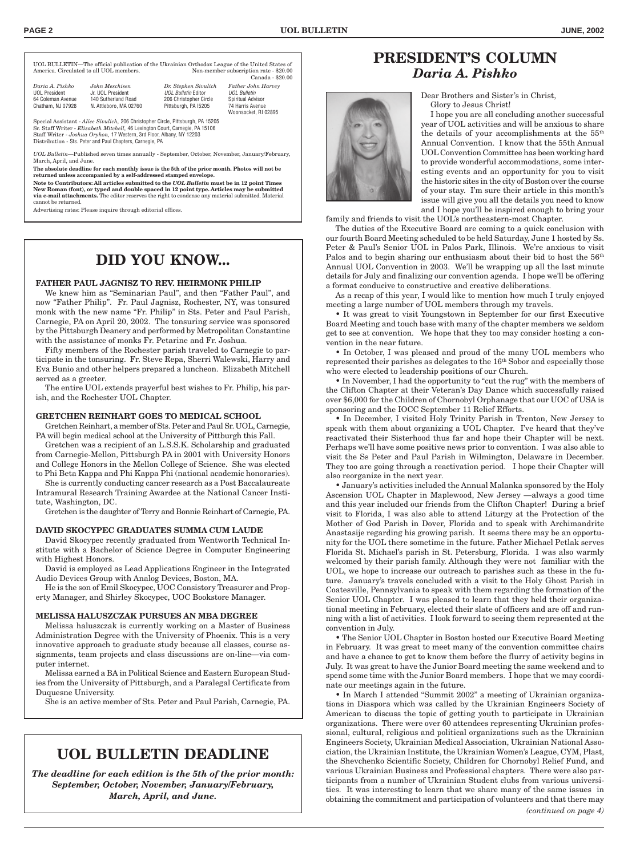UOL BULLETIN—The official publication of the Ukrainian Orthodox League of the United States of Non-member subscription rate - \$20.00 Canada - \$20.00

| Daria A. Pishko   | John Meschisen         | Dr. Stephen Sivulich   | <b>Father John Harvey</b> |
|-------------------|------------------------|------------------------|---------------------------|
| UOL President     | Jr. UOL President      | UOL Bulletin Editor    | <b>UOL Bulletin</b>       |
| 64 Coleman Avenue | 140 Sutherland Road    | 206 Christopher Circle | Spiritual Advisor         |
| Chatham, NJ 07928 | N. Attleboro, MA 02760 | Pittsburgh, PA 15205   | 74 Harris Avenue          |
|                   |                        |                        | Woonsocket, RI 02895      |

Special Assistant - *Alice Sivulich,* 206 Christopher Circle, Pittsburgh, PA 15205 Sr. Staff Writer - *Elizabeth Mitchell,* 46 Lexington Court, Carnegie, PA 15106 Staff Writer - *Joshua Oryhon,* 17 Western, 3rd Floor, Albany, NY 12203 Distribution - Sts. Peter and Paul Chapters, Carnegie, PA

*UOL Bulletin*—Published seven times annually - September, October, November, January/February, March, April, and June.

**The absolute deadline for each monthly issue is the 5th of the prior month. Photos will not be returned unless accompanied by a self-addressed stamped envelope.**

**Note to Contributors: All articles submitted to the** *UOL Bulletin* **must be in 12 point Times New Roman (font), or typed and double spaced in 12 point type. Articles may be submitted via e-mail attachments.** The editor reserves the right to condense any material submitted. Material cannot be returned.

Advertising rates: Please inquire through editorial offices.

# **DID YOU KNOW...**

#### **FATHER PAUL JAGNISZ TO REV. HEIRMONK PHILIP**

We knew him as "Seminarian Paul", and then "Father Paul", and now "Father Philip". Fr. Paul Jagnisz, Rochester, NY, was tonsured monk with the new name "Fr. Philip" in Sts. Peter and Paul Parish, Carnegie, PA on April 20, 2002. The tonsuring service was sponsored by the Pittsburgh Deanery and performed by Metropolitan Constantine with the assistance of monks Fr. Petarine and Fr. Joshua.

Fifty members of the Rochester parish traveled to Carnegie to participate in the tonsuring. Fr. Steve Repa, Sherri Walewski, Harry and Eva Bunio and other helpers prepared a luncheon. Elizabeth Mitchell served as a greeter.

The entire UOL extends prayerful best wishes to Fr. Philip, his parish, and the Rochester UOL Chapter.

#### **GRETCHEN REINHART GOES TO MEDICAL SCHOOL**

Gretchen Reinhart, a member of Sts. Peter and Paul Sr. UOL, Carnegie, PA will begin medical school at the University of Pittburgh this Fall.

Gretchen was a recipient of an L.S.S.K. Scholarship and graduated from Carnegie-Mellon, Pittsburgh PA in 2001 with University Honors and College Honors in the Mellon College of Science. She was elected to Phi Beta Kappa and Phi Kappa Phi (national academic honoraries).

She is currently conducting cancer research as a Post Baccalaureate Intramural Research Training Awardee at the National Cancer Institute, Washington, DC.

Gretchen is the daughter of Terry and Bonnie Reinhart of Carnegie, PA.

#### **DAVID SKOCYPEC GRADUATES SUMMA CUM LAUDE**

David Skocypec recently graduated from Wentworth Technical Institute with a Bachelor of Science Degree in Computer Engineering with Highest Honors.

David is employed as Lead Applications Engineer in the Integrated Audio Devices Group with Analog Devices, Boston, MA.

He is the son of Emil Skocypec, UOC Consistory Treasurer and Property Manager, and Shirley Skocypec, UOC Bookstore Manager.

#### **MELISSA HALUSZCZAK PURSUES AN MBA DEGREE**

Melissa haluszczak is currently working on a Master of Business Administration Degree with the University of Phoenix. This is a very innovative approach to graduate study because all classes, course assignments, team projects and class discussions are on-line—via computer internet.

Melissa earned a BA in Political Science and Eastern European Studies from the University of Pittsburgh, and a Paralegal Certificate from Duquesne University.

She is an active member of Sts. Peter and Paul Parish, Carnegie, PA.

### **UOL BULLETIN DEADLINE**

*The deadline for each edition is the 5th of the prior month: September, October, November, January/February, March, April, and June.*

# **PRESIDENT'S COLUMN** *Daria A. Pishko*

Dear Brothers and Sister's in Christ, Glory to Jesus Christ!

I hope you are all concluding another successful year of UOL activities and will be anxious to share the details of your accomplishments at the 55th Annual Convention. I know that the 55th Annual UOL Convention Committee has been working hard to provide wonderful accommodations, some interesting events and an opportunity for you to visit the historic sites in the city of Boston over the course of your stay. I'm sure their article in this month's issue will give you all the details you need to know and I hope you'll be inspired enough to bring your

family and friends to visit the UOL's northeastern-most Chapter.

The duties of the Executive Board are coming to a quick conclusion with our fourth Board Meeting scheduled to be held Saturday, June 1 hosted by Ss. Peter & Paul's Senior UOL in Palos Park, Illinois. We're anxious to visit Palos and to begin sharing our enthusiasm about their bid to host the 56<sup>th</sup> Annual UOL Convention in 2003. We'll be wrapping up all the last minute details for July and finalizing our convention agenda. I hope we'll be offering a format conducive to constructive and creative deliberations.

As a recap of this year, I would like to mention how much I truly enjoyed meeting a large number of UOL members through my travels.

• It was great to visit Youngstown in September for our first Executive Board Meeting and touch base with many of the chapter members we seldom get to see at convention. We hope that they too may consider hosting a convention in the near future.

• In October, I was pleased and proud of the many UOL members who represented their parishes as delegates to the 16<sup>th</sup> Sobor and especially those who were elected to leadership positions of our Church.

• In November, I had the opportunity to "cut the rug" with the members of the Clifton Chapter at their Veteran's Day Dance which successfully raised over \$6,000 for the Children of Chornobyl Orphanage that our UOC of USA is sponsoring and the IOCC September 11 Relief Efforts.

• In December, I visited Holy Trinity Parish in Trenton, New Jersey to speak with them about organizing a UOL Chapter. I've heard that they've reactivated their Sisterhood thus far and hope their Chapter will be next. Perhaps we'll have some positive news prior to convention. I was also able to visit the Ss Peter and Paul Parish in Wilmington, Delaware in December. They too are going through a reactivation period. I hope their Chapter will also reorganize in the next year.

• January's activities included the Annual Malanka sponsored by the Holy Ascension UOL Chapter in Maplewood, New Jersey —always a good time and this year included our friends from the Clifton Chapter! During a brief visit to Florida, I was also able to attend Liturgy at the Protection of the Mother of God Parish in Dover, Florida and to speak with Archimandrite Anastasije regarding his growing parish. It seems there may be an opportunity for the UOL there sometime in the future. Father Michael Petlak serves Florida St. Michael's parish in St. Petersburg, Florida. I was also warmly welcomed by their parish family. Although they were not familiar with the UOL, we hope to increase our outreach to parishes such as these in the future. January's travels concluded with a visit to the Holy Ghost Parish in Coatesville, Pennsylvania to speak with them regarding the formation of the Senior UOL Chapter. I was pleased to learn that they held their organizational meeting in February, elected their slate of officers and are off and running with a list of activities. I look forward to seeing them represented at the convention in July.

• The Senior UOL Chapter in Boston hosted our Executive Board Meeting in February. It was great to meet many of the convention committee chairs and have a chance to get to know them before the flurry of activity begins in July. It was great to have the Junior Board meeting the same weekend and to spend some time with the Junior Board members. I hope that we may coordinate our meetings again in the future.

• In March I attended "Summit 2002" a meeting of Ukrainian organizations in Diaspora which was called by the Ukrainian Engineers Society of American to discuss the topic of getting youth to participate in Ukrainian organizations. There were over 60 attendees representing Ukrainian professional, cultural, religious and political organizations such as the Ukrainian Engineers Society, Ukrainian Medical Association, Ukrainian National Association, the Ukrainian Institute, the Ukrainian Women's League, CYM, Plast, the Shevchenko Scientific Society, Children for Chornobyl Relief Fund, and various Ukrainian Business and Professional chapters. There were also participants from a number of Ukrainian Student clubs from various universities. It was interesting to learn that we share many of the same issues in obtaining the commitment and participation of volunteers and that there may *(continued on page 4)*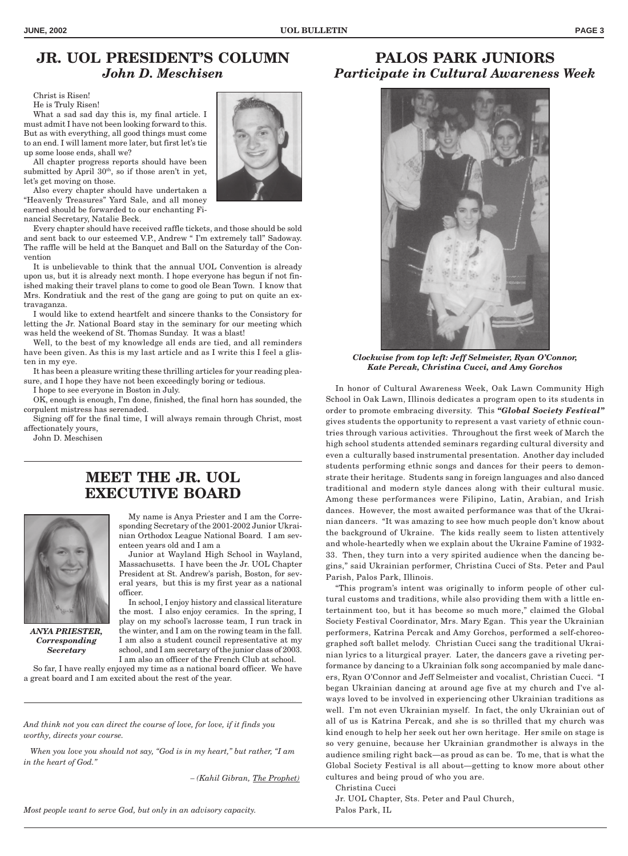# **JR. UOL PRESIDENT'S COLUMN** *John D. Meschisen*

Christ is Risen!

He is Truly Risen!

What a sad sad day this is, my final article. I must admit I have not been looking forward to this. But as with everything, all good things must come to an end. I will lament more later, but first let's tie up some loose ends, shall we?

All chapter progress reports should have been submitted by April  $30<sup>th</sup>$ , so if those aren't in yet, let's get moving on those.

Also every chapter should have undertaken a "Heavenly Treasures" Yard Sale, and all money earned should be forwarded to our enchanting Financial Secretary, Natalie Beck.

Every chapter should have received raffle tickets, and those should be sold and sent back to our esteemed V.P., Andrew " I'm extremely tall" Sadoway. The raffle will be held at the Banquet and Ball on the Saturday of the Convention

It is unbelievable to think that the annual UOL Convention is already upon us, but it is already next month. I hope everyone has begun if not finished making their travel plans to come to good ole Bean Town. I know that Mrs. Kondratiuk and the rest of the gang are going to put on quite an extravaganza.

I would like to extend heartfelt and sincere thanks to the Consistory for letting the Jr. National Board stay in the seminary for our meeting which was held the weekend of St. Thomas Sunday. It was a blast!

Well, to the best of my knowledge all ends are tied, and all reminders have been given. As this is my last article and as I write this I feel a glisten in my eye.

It has been a pleasure writing these thrilling articles for your reading pleasure, and I hope they have not been exceedingly boring or tedious.

I hope to see everyone in Boston in July.

OK, enough is enough, I'm done, finished, the final horn has sounded, the corpulent mistress has serenaded.

Signing off for the final time, I will always remain through Christ, most affectionately yours,

John D. Meschisen

### **MEET THE JR. UOL EXECUTIVE BOARD**



*ANYA PRIESTER, Corresponding Secretary*

My name is Anya Priester and I am the Corresponding Secretary of the 2001-2002 Junior Ukrainian Orthodox League National Board. I am seventeen years old and I am a

Junior at Wayland High School in Wayland, Massachusetts. I have been the Jr. UOL Chapter President at St. Andrew's parish, Boston, for several years, but this is my first year as a national officer.

In school, I enjoy history and classical literature the most. I also enjoy ceramics. In the spring, I play on my school's lacrosse team, I run track in the winter, and I am on the rowing team in the fall. I am also a student council representative at my school, and I am secretary of the junior class of 2003. I am also an officer of the French Club at school.

So far, I have really enjoyed my time as a national board officer. We have a great board and I am excited about the rest of the year.

*And think not you can direct the course of love, for love, if it finds you worthy, directs your course.*

 *When you love you should not say, "God is in my heart," but rather, "I am in the heart of God."*

*– (Kahil Gibran, The Prophet)*

### **PALOS PARK JUNIORS** *Participate in Cultural Awareness Week*



*Clockwise from top left: Jeff Selmeister, Ryan O'Connor, Kate Percak, Christina Cucci, and Amy Gorchos*

In honor of Cultural Awareness Week, Oak Lawn Community High School in Oak Lawn, Illinois dedicates a program open to its students in order to promote embracing diversity. This *"Global Society Festival"* gives students the opportunity to represent a vast variety of ethnic countries through various activities. Throughout the first week of March the high school students attended seminars regarding cultural diversity and even a culturally based instrumental presentation. Another day included students performing ethnic songs and dances for their peers to demonstrate their heritage. Students sang in foreign languages and also danced traditional and modern style dances along with their cultural music. Among these performances were Filipino, Latin, Arabian, and Irish dances. However, the most awaited performance was that of the Ukrainian dancers. "It was amazing to see how much people don't know about the background of Ukraine. The kids really seem to listen attentively and whole-heartedly when we explain about the Ukraine Famine of 1932- 33. Then, they turn into a very spirited audience when the dancing begins," said Ukrainian performer, Christina Cucci of Sts. Peter and Paul Parish, Palos Park, Illinois.

"This program's intent was originally to inform people of other cultural customs and traditions, while also providing them with a little entertainment too, but it has become so much more," claimed the Global Society Festival Coordinator, Mrs. Mary Egan. This year the Ukrainian performers, Katrina Percak and Amy Gorchos, performed a self-choreographed soft ballet melody. Christian Cucci sang the traditional Ukrainian lyrics to a liturgical prayer. Later, the dancers gave a riveting performance by dancing to a Ukrainian folk song accompanied by male dancers, Ryan O'Connor and Jeff Selmeister and vocalist, Christian Cucci. "I began Ukrainian dancing at around age five at my church and I've always loved to be involved in experiencing other Ukrainian traditions as well. I'm not even Ukrainian myself. In fact, the only Ukrainian out of all of us is Katrina Percak, and she is so thrilled that my church was kind enough to help her seek out her own heritage. Her smile on stage is so very genuine, because her Ukrainian grandmother is always in the audience smiling right back—as proud as can be. To me, that is what the Global Society Festival is all about—getting to know more about other cultures and being proud of who you are.

Christina Cucci

Jr. UOL Chapter, Sts. Peter and Paul Church, Palos Park, IL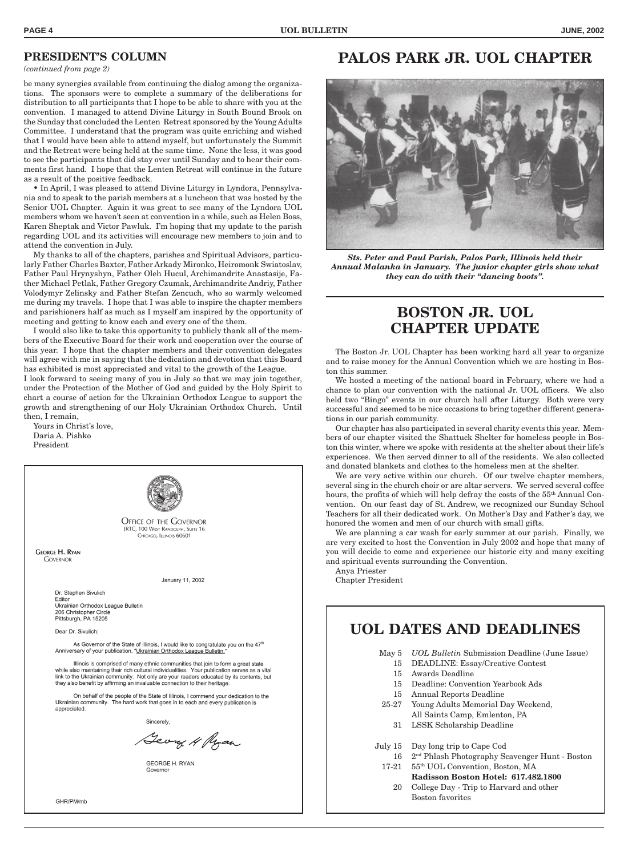#### **PRESIDENT'S COLUMN**

*(continued from page 2)*

be many synergies available from continuing the dialog among the organizations. The sponsors were to complete a summary of the deliberations for distribution to all participants that I hope to be able to share with you at the convention. I managed to attend Divine Liturgy in South Bound Brook on the Sunday that concluded the Lenten Retreat sponsored by the Young Adults Committee. I understand that the program was quite enriching and wished that I would have been able to attend myself, but unfortunately the Summit and the Retreat were being held at the same time. None the less, it was good to see the participants that did stay over until Sunday and to hear their comments first hand. I hope that the Lenten Retreat will continue in the future as a result of the positive feedback.

• In April, I was pleased to attend Divine Liturgy in Lyndora, Pennsylvania and to speak to the parish members at a luncheon that was hosted by the Senior UOL Chapter. Again it was great to see many of the Lyndora UOL members whom we haven't seen at convention in a while, such as Helen Boss, Karen Sheptak and Victor Pawluk. I'm hoping that my update to the parish regarding UOL and its activities will encourage new members to join and to attend the convention in July.

My thanks to all of the chapters, parishes and Spiritual Advisors, particularly Father Charles Baxter, Father Arkady Mironko, Heiromonk Swiatoslav, Father Paul Hrynyshyn, Father Oleh Hucul, Archimandrite Anastasije, Father Michael Petlak, Father Gregory Czumak, Archimandrite Andriy, Father Volodymyr Zelinsky and Father Stefan Zencuch, who so warmly welcomed me during my travels. I hope that I was able to inspire the chapter members and parishioners half as much as I myself am inspired by the opportunity of meeting and getting to know each and every one of the them.

I would also like to take this opportunity to publicly thank all of the members of the Executive Board for their work and cooperation over the course of this year. I hope that the chapter members and their convention delegates will agree with me in saying that the dedication and devotion that this Board has exhibited is most appreciated and vital to the growth of the League.

I look forward to seeing many of you in July so that we may join together, under the Protection of the Mother of God and guided by the Holy Spirit to chart a course of action for the Ukrainian Orthodox League to support the growth and strengthening of our Holy Ukrainian Orthodox Church. Until then, I remain,

Yours in Christ's love, Daria A. Pishko President



# **PALOS PARK JR. UOL CHAPTER**



*Sts. Peter and Paul Parish, Palos Park, Illinois held their Annual Malanka in January. The junior chapter girls show what they can do with their "dancing boots".*

# **BOSTON JR. UOL CHAPTER UPDATE**

The Boston Jr. UOL Chapter has been working hard all year to organize and to raise money for the Annual Convention which we are hosting in Boston this summer.

We hosted a meeting of the national board in February, where we had a chance to plan our convention with the national Jr. UOL officers. We also held two "Bingo" events in our church hall after Liturgy. Both were very successful and seemed to be nice occasions to bring together different generations in our parish community.

Our chapter has also participated in several charity events this year. Members of our chapter visited the Shattuck Shelter for homeless people in Boston this winter, where we spoke with residents at the shelter about their life's experiences. We then served dinner to all of the residents. We also collected and donated blankets and clothes to the homeless men at the shelter.

We are very active within our church. Of our twelve chapter members, several sing in the church choir or are altar servers. We served several coffee hours, the profits of which will help defray the costs of the 55<sup>th</sup> Annual Convention. On our feast day of St. Andrew, we recognized our Sunday School Teachers for all their dedicated work. On Mother's Day and Father's day, we honored the women and men of our church with small gifts.

We are planning a car wash for early summer at our parish. Finally, we are very excited to host the Convention in July 2002 and hope that many of you will decide to come and experience our historic city and many exciting and spiritual events surrounding the Convention.

Anya Priester Chapter President

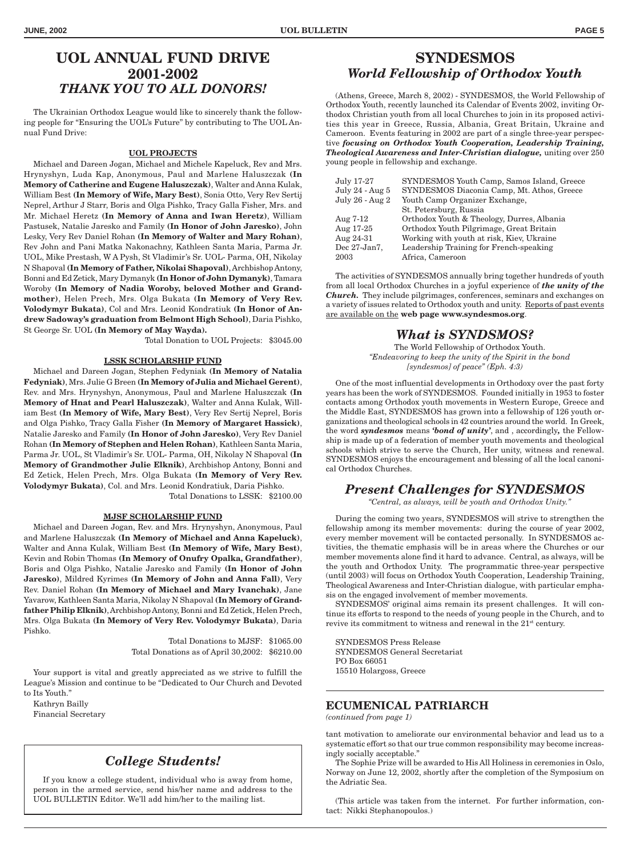#### **UOL ANNUAL FUND DRIVE 2001-2002** *THANK YOU TO ALL DONORS!*

The Ukrainian Orthodox League would like to sincerely thank the following people for "Ensuring the UOL's Future" by contributing to The UOL Annual Fund Drive:

#### **UOL PROJECTS**

Michael and Dareen Jogan, Michael and Michele Kapeluck, Rev and Mrs. Hrynyshyn, Luda Kap, Anonymous, Paul and Marlene Haluszczak **(In Memory of Catherine and Eugene Haluszczak)**, Walter and Anna Kulak, William Best **(In Memory of Wife, Mary Best)**, Sonia Otto, Very Rev Sertij Neprel, Arthur J Starr, Boris and Olga Pishko, Tracy Galla Fisher, Mrs. and Mr. Michael Heretz **(In Memory of Anna and Iwan Heretz)**, William Pastusek, Natalie Jaresko and Family **(In Honor of John Jaresko)**, John Lesky, Very Rev Daniel Rohan **(In Memory of Walter and Mary Rohan)**, Rev John and Pani Matka Nakonachny, Kathleen Santa Maria, Parma Jr. UOL, Mike Prestash, W A Pysh, St Vladimir's Sr. UOL- Parma, OH, Nikolay N Shapoval **(In Memory of Father, Nikolai Shapoval)**, Archbishop Antony, Bonni and Ed Zetick, Mary Dymanyk **(In Honor of John Dymanyk)**, Tamara Woroby **(In Memory of Nadia Woroby, beloved Mother and Grandmother)**, Helen Prech, Mrs. Olga Bukata **(In Memory of Very Rev. Volodymyr Bukata)**, Col and Mrs. Leonid Kondratiuk **(In Honor of Andrew Sadoway's graduation from Belmont High School)**, Daria Pishko, St George Sr. UOL **(In Memory of May Wayda).**

Total Donation to UOL Projects: \$3045.00

#### **LSSK SCHOLARSHIP FUND**

Michael and Dareen Jogan, Stephen Fedyniak **(In Memory of Natalia Fedyniak)**, Mrs. Julie G Breen **(In Memory of Julia and Michael Gerent)**, Rev. and Mrs. Hrynyshyn, Anonymous, Paul and Marlene Haluszczak **(In Memory of Hnat and Pearl Haluszczak)**, Walter and Anna Kulak, William Best **(In Memory of Wife, Mary Best)**, Very Rev Sertij Neprel, Boris and Olga Pishko, Tracy Galla Fisher **(In Memory of Margaret Hassick)**, Natalie Jaresko and Family **(In Honor of John Jaresko)**, Very Rev Daniel Rohan **(In Memory of Stephen and Helen Rohan)**, Kathleen Santa Maria, Parma Jr. UOL, St Vladimir's Sr. UOL- Parma, OH, Nikolay N Shapoval **(In Memory of Grandmother Julie Elknik)**, Archbishop Antony, Bonni and Ed Zetick, Helen Prech, Mrs. Olga Bukata **(In Memory of Very Rev. Volodymyr Bukata)**, Col. and Mrs. Leonid Kondratiuk, Daria Pishko.

Total Donations to LSSK: \$2100.00

#### **MJSF SCHOLARSHIP FUND**

Michael and Dareen Jogan, Rev. and Mrs. Hrynyshyn, Anonymous, Paul and Marlene Haluszczak **(In Memory of Michael and Anna Kapeluck)**, Walter and Anna Kulak, William Best **(In Memory of Wife, Mary Best)**, Kevin and Robin Thomas **(In Memory of Onufry Opalka, Grandfather)**, Boris and Olga Pishko, Natalie Jaresko and Family **(In Honor of John Jaresko)**, Mildred Kyrimes **(In Memory of John and Anna Fall)**, Very Rev. Daniel Rohan **(In Memory of Michael and Mary Ivanchak)**, Jane Yavarow, Kathleen Santa Maria, Nikolay N Shapoval **(In Memory of Grandfather Philip Elknik)**, Archbishop Antony, Bonni and Ed Zetick, Helen Prech, Mrs. Olga Bukata **(In Memory of Very Rev. Volodymyr Bukata)**, Daria Pishko.

> Total Donations to MJSF: \$1065.00 Total Donations as of April 30,2002: \$6210.00

Your support is vital and greatly appreciated as we strive to fulfill the League's Mission and continue to be "Dedicated to Our Church and Devoted to Its Youth."

Kathryn Bailly Financial Secretary

#### *College Students!*

If you know a college student, individual who is away from home, person in the armed service, send his/her name and address to the UOL BULLETIN Editor. We'll add him/her to the mailing list.

### **SYNDESMOS** *World Fellowship of Orthodox Youth*

(Athens, Greece, March 8, 2002) - SYNDESMOS, the World Fellowship of Orthodox Youth, recently launched its Calendar of Events 2002, inviting Orthodox Christian youth from all local Churches to join in its proposed activities this year in Greece, Russia, Albania, Great Britain, Ukraine and Cameroon. Events featuring in 2002 are part of a single three-year perspective *focusing on Orthodox Youth Cooperation, Leadership Training,* **Theological Awareness and Inter-Christian dialogue, uniting over 250** young people in fellowship and exchange.

| SYNDESMOS Youth Camp, Samos Island, Greece |
|--------------------------------------------|
| SYNDESMOS Diaconia Camp, Mt. Athos, Greece |
| Youth Camp Organizer Exchange,             |
| St. Petersburg, Russia                     |
| Orthodox Youth & Theology, Durres, Albania |
| Orthodox Youth Pilgrimage, Great Britain   |
| Working with youth at risk, Kiev, Ukraine  |
| Leadership Training for French-speaking    |
| Africa, Cameroon                           |
|                                            |

The activities of SYNDESMOS annually bring together hundreds of youth from all local Orthodox Churches in a joyful experience of *the unity of the Church.* They include pilgrimages, conferences, seminars and exchanges on a variety of issues related to Orthodox youth and unity. Reports of past events are available on the **web page www.syndesmos.org**.

#### *What is SYNDSMOS?*

The World Fellowship of Orthodox Youth. *"Endeavoring to keep the unity of the Spirit in the bond [syndesmos] of peace" (Eph. 4:3)*

One of the most influential developments in Orthodoxy over the past forty years has been the work of SYNDESMOS. Founded initially in 1953 to foster contacts among Orthodox youth movements in Western Europe, Greece and the Middle East, SYNDESMOS has grown into a fellowship of 126 youth organizations and theological schools in 42 countries around the world. In Greek, the word *syndesmos* means *'bond of unity'*, and , accordingly*,* the Fellowship is made up of a federation of member youth movements and theological schools which strive to serve the Church, Her unity, witness and renewal. SYNDESMOS enjoys the encouragement and blessing of all the local canonical Orthodox Churches.

### *Present Challenges for SYNDESMOS*

*"Central, as always, will be youth and Orthodox Unity."*

During the coming two years, SYNDESMOS will strive to strengthen the fellowship among its member movements: during the course of year 2002, every member movement will be contacted personally. In SYNDESMOS activities, the thematic emphasis will be in areas where the Churches or our member movements alone find it hard to advance. Central, as always, will be the youth and Orthodox Unity. The programmatic three-year perspective (until 2003) will focus on Orthodox Youth Cooperation, Leadership Training, Theological Awareness and Inter-Christian dialogue, with particular emphasis on the engaged involvement of member movements.

SYNDESMOS' original aims remain its present challenges. It will continue its efforts to respond to the needs of young people in the Church, and to revive its commitment to witness and renewal in the 21<sup>st</sup> century.

SYNDESMOS Press Release SYNDESMOS General Secretariat PO Box 66051 15510 Holargoss, Greece

#### **ECUMENICAL PATRIARCH**

*(continued from page 1)*

tant motivation to ameliorate our environmental behavior and lead us to a systematic effort so that our true common responsibility may become increasingly socially acceptable."

The Sophie Prize will be awarded to His All Holiness in ceremonies in Oslo, Norway on June 12, 2002, shortly after the completion of the Symposium on the Adriatic Sea.

(This article was taken from the internet. For further information, contact: Nikki Stephanopoulos.)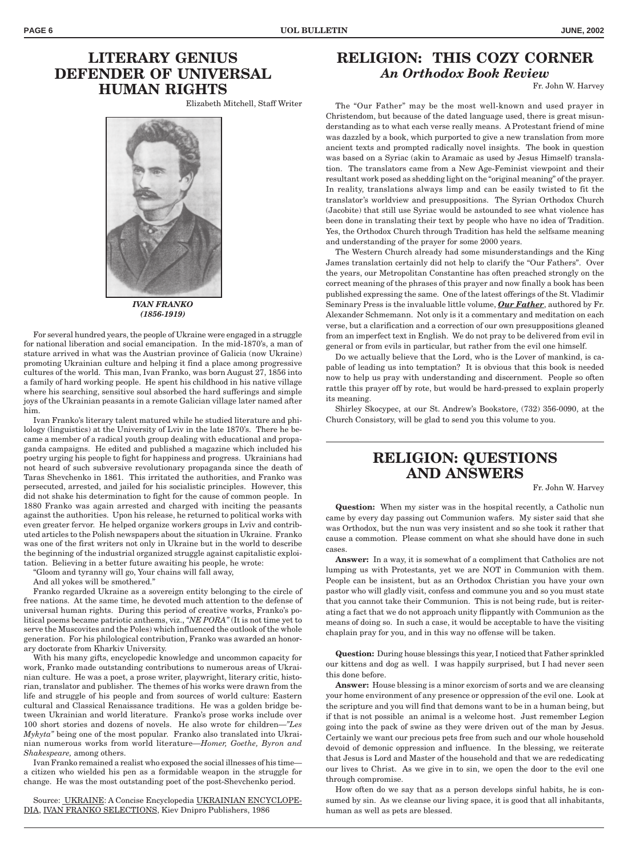# **LITERARY GENIUS DEFENDER OF UNIVERSAL HUMAN RIGHTS**

Elizabeth Mitchell, Staff Writer



*IVAN FRANKO (1856-1919)*

For several hundred years, the people of Ukraine were engaged in a struggle for national liberation and social emancipation. In the mid-1870's, a man of stature arrived in what was the Austrian province of Galicia (now Ukraine) promoting Ukrainian culture and helping it find a place among progressive cultures of the world. This man, Ivan Franko, was born August 27, 1856 into a family of hard working people. He spent his childhood in his native village where his searching, sensitive soul absorbed the hard sufferings and simple joys of the Ukrainian peasants in a remote Galician village later named after him.

Ivan Franko's literary talent matured while he studied literature and philology (linguistics) at the University of Lviv in the late 1870's. There he became a member of a radical youth group dealing with educational and propaganda campaigns. He edited and published a magazine which included his poetry urging his people to fight for happiness and progress. Ukrainians had not heard of such subversive revolutionary propaganda since the death of Taras Shevchenko in 1861. This irritated the authorities, and Franko was persecuted, arrested, and jailed for his socialistic principles. However, this did not shake his determination to fight for the cause of common people. In 1880 Franko was again arrested and charged with inciting the peasants against the authorities. Upon his release, he returned to political works with even greater fervor. He helped organize workers groups in Lviv and contributed articles to the Polish newspapers about the situation in Ukraine. Franko was one of the first writers not only in Ukraine but in the world to describe the beginning of the industrial organized struggle against capitalistic exploitation. Believing in a better future awaiting his people, he wrote:

"Gloom and tyranny will go, Your chains will fall away,

And all yokes will be smothered."

Franko regarded Ukraine as a sovereign entity belonging to the circle of free nations. At the same time, he devoted much attention to the defense of universal human rights. During this period of creative works, Franko's political poems became patriotic anthems, viz., *"NE PORA"* (It is not time yet to serve the Muscovites and the Poles) which influenced the outlook of the whole generation. For his philological contribution, Franko was awarded an honorary doctorate from Kharkiv University.

With his many gifts, encyclopedic knowledge and uncommon capacity for work, Franko made outstanding contributions to numerous areas of Ukrainian culture. He was a poet, a prose writer, playwright, literary critic, historian, translator and publisher. The themes of his works were drawn from the life and struggle of his people and from sources of world culture: Eastern cultural and Classical Renaissance traditions. He was a golden bridge between Ukrainian and world literature. Franko's prose works include over 100 short stories and dozens of novels. He also wrote for children—*"Les Mykyta"* being one of the most popular. Franko also translated into Ukrainian numerous works from world literature—*Homer, Goethe, Byron and Shakespeare,* among others.

Ivan Franko remained a realist who exposed the social illnesses of his time a citizen who wielded his pen as a formidable weapon in the struggle for change. He was the most outstanding poet of the post-Shevchenko period.

Source: UKRAINE: A Concise Encyclopedia UKRAINIAN ENCYCLOPE-DIA, IVAN FRANKO SELECTIONS, Kiev Dnipro Publishers, 1986

### **RELIGION: THIS COZY CORNER** *An Orthodox Book Review*

Fr. John W. Harvey

The "Our Father" may be the most well-known and used prayer in Christendom, but because of the dated language used, there is great misunderstanding as to what each verse really means. A Protestant friend of mine was dazzled by a book, which purported to give a new translation from more ancient texts and prompted radically novel insights. The book in question was based on a Syriac (akin to Aramaic as used by Jesus Himself) translation. The translators came from a New Age-Feminist viewpoint and their resultant work posed as shedding light on the "original meaning" of the prayer. In reality, translations always limp and can be easily twisted to fit the translator's worldview and presuppositions. The Syrian Orthodox Church (Jacobite) that still use Syriac would be astounded to see what violence has been done in translating their text by people who have no idea of Tradition. Yes, the Orthodox Church through Tradition has held the selfsame meaning and understanding of the prayer for some 2000 years.

The Western Church already had some misunderstandings and the King James translation certainly did not help to clarify the "Our Fathers". Over the years, our Metropolitan Constantine has often preached strongly on the correct meaning of the phrases of this prayer and now finally a book has been published expressing the same. One of the latest offerings of the St. Vladimir Seminary Press is the invaluable little volume, *Our Father*, authored by Fr. Alexander Schmemann. Not only is it a commentary and meditation on each verse, but a clarification and a correction of our own presuppositions gleaned from an imperfect text in English. We do not pray to be delivered from evil in general or from evils in particular, but rather from the evil one himself.

Do we actually believe that the Lord, who is the Lover of mankind, is capable of leading us into temptation? It is obvious that this book is needed now to help us pray with understanding and discernment. People so often rattle this prayer off by rote, but would be hard-pressed to explain properly its meaning.

Shirley Skocypec, at our St. Andrew's Bookstore, (732) 356-0090, at the Church Consistory, will be glad to send you this volume to you.

# **RELIGION: QUESTIONS AND ANSWERS**

Fr. John W. Harvey

**Question:** When my sister was in the hospital recently, a Catholic nun came by every day passing out Communion wafers. My sister said that she was Orthodox, but the nun was very insistent and so she took it rather that cause a commotion. Please comment on what she should have done in such cases.

**Answer:** In a way, it is somewhat of a compliment that Catholics are not lumping us with Protestants, yet we are NOT in Communion with them. People can be insistent, but as an Orthodox Christian you have your own pastor who will gladly visit, confess and commune you and so you must state that you cannot take their Communion. This is not being rude, but is reiterating a fact that we do not approach unity flippantly with Communion as the means of doing so. In such a case, it would be acceptable to have the visiting chaplain pray for you, and in this way no offense will be taken.

**Question:** During house blessings this year, I noticed that Father sprinkled our kittens and dog as well. I was happily surprised, but I had never seen this done before.

**Answer:** House blessing is a minor exorcism of sorts and we are cleansing your home environment of any presence or oppression of the evil one. Look at the scripture and you will find that demons want to be in a human being, but if that is not possible an animal is a welcome host. Just remember Legion going into the pack of swine as they were driven out of the man by Jesus. Certainly we want our precious pets free from such and our whole household devoid of demonic oppression and influence. In the blessing, we reiterate that Jesus is Lord and Master of the household and that we are rededicating our lives to Christ. As we give in to sin, we open the door to the evil one through compromise.

How often do we say that as a person develops sinful habits, he is consumed by sin. As we cleanse our living space, it is good that all inhabitants, human as well as pets are blessed.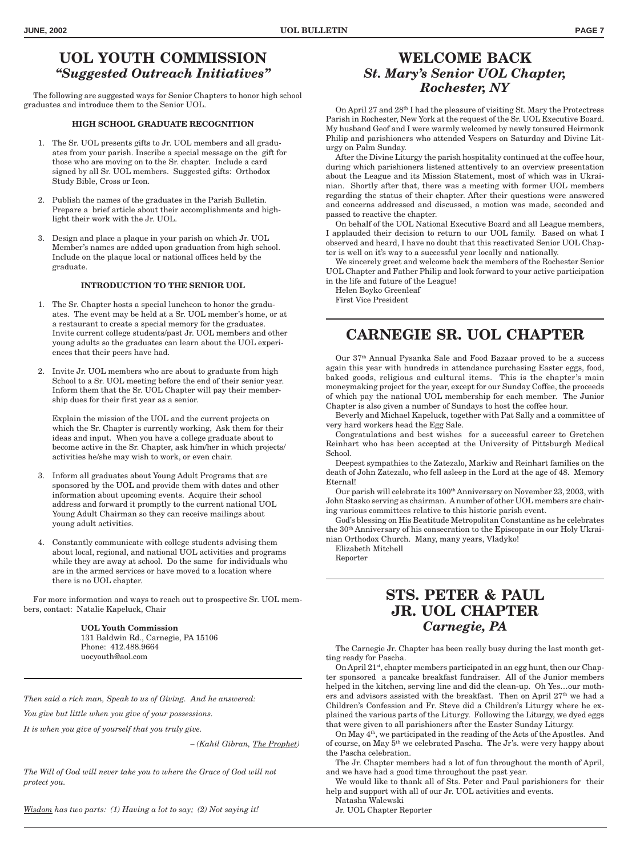### **UOL YOUTH COMMISSION** *"Suggested Outreach Initiatives"*

The following are suggested ways for Senior Chapters to honor high school graduates and introduce them to the Senior UOL.

#### **HIGH SCHOOL GRADUATE RECOGNITION**

- 1. The Sr. UOL presents gifts to Jr. UOL members and all graduates from your parish. Inscribe a special message on the gift for those who are moving on to the Sr. chapter. Include a card signed by all Sr. UOL members. Suggested gifts: Orthodox Study Bible, Cross or Icon.
- 2. Publish the names of the graduates in the Parish Bulletin. Prepare a brief article about their accomplishments and highlight their work with the Jr. UOL.
- 3. Design and place a plaque in your parish on which Jr. UOL Member's names are added upon graduation from high school. Include on the plaque local or national offices held by the graduate.

#### **INTRODUCTION TO THE SENIOR UOL**

- 1. The Sr. Chapter hosts a special luncheon to honor the graduates. The event may be held at a Sr. UOL member's home, or at a restaurant to create a special memory for the graduates. Invite current college students/past Jr. UOL members and other young adults so the graduates can learn about the UOL experiences that their peers have had.
- 2. Invite Jr. UOL members who are about to graduate from high School to a Sr. UOL meeting before the end of their senior year. Inform them that the Sr. UOL Chapter will pay their membership dues for their first year as a senior.

Explain the mission of the UOL and the current projects on which the Sr. Chapter is currently working, Ask them for their ideas and input. When you have a college graduate about to become active in the Sr. Chapter, ask him/her in which projects/ activities he/she may wish to work, or even chair.

- 3. Inform all graduates about Young Adult Programs that are sponsored by the UOL and provide them with dates and other information about upcoming events. Acquire their school address and forward it promptly to the current national UOL Young Adult Chairman so they can receive mailings about young adult activities.
- 4. Constantly communicate with college students advising them about local, regional, and national UOL activities and programs while they are away at school. Do the same for individuals who are in the armed services or have moved to a location where there is no UOL chapter.

For more information and ways to reach out to prospective Sr. UOL members, contact: Natalie Kapeluck, Chair

> **UOL Youth Commission** 131 Baldwin Rd., Carnegie, PA 15106 Phone: 412.488.9664 uocyouth@aol.com

*Then said a rich man, Speak to us of Giving. And he answered:*

*You give but little when you give of your possessions.*

*It is when you give of yourself that you truly give.*

*– (Kahil Gibran, The Prophet)*

*The Will of God will never take you to where the Grace of God will not protect you.*

*Wisdom has two parts: (1) Having a lot to say; (2) Not saying it!*

### **WELCOME BACK** *St. Mary's Senior UOL Chapter, Rochester, NY*

On April 27 and 28th I had the pleasure of visiting St. Mary the Protectress Parish in Rochester, New York at the request of the Sr. UOL Executive Board. My husband Geof and I were warmly welcomed by newly tonsured Heirmonk Philip and parishioners who attended Vespers on Saturday and Divine Liturgy on Palm Sunday.

After the Divine Liturgy the parish hospitality continued at the coffee hour, during which parishioners listened attentively to an overview presentation about the League and its Mission Statement, most of which was in Ukrainian. Shortly after that, there was a meeting with former UOL members regarding the status of their chapter. After their questions were answered and concerns addressed and discussed, a motion was made, seconded and passed to reactive the chapter.

On behalf of the UOL National Executive Board and all League members, I applauded their decision to return to our UOL family. Based on what I observed and heard, I have no doubt that this reactivated Senior UOL Chapter is well on it's way to a successful year locally and nationally.

We sincerely greet and welcome back the members of the Rochester Senior UOL Chapter and Father Philip and look forward to your active participation in the life and future of the League!

Helen Boyko Greenleaf First Vice President

# **CARNEGIE SR. UOL CHAPTER**

Our 37th Annual Pysanka Sale and Food Bazaar proved to be a success again this year with hundreds in attendance purchasing Easter eggs, food, baked goods, religious and cultural items. This is the chapter's main moneymaking project for the year, except for our Sunday Coffee, the proceeds of which pay the national UOL membership for each member. The Junior Chapter is also given a number of Sundays to host the coffee hour.

Beverly and Michael Kapeluck, together with Pat Sally and a committee of very hard workers head the Egg Sale.

Congratulations and best wishes for a successful career to Gretchen Reinhart who has been accepted at the University of Pittsburgh Medical School.

Deepest sympathies to the Zatezalo, Markiw and Reinhart families on the death of John Zatezalo, who fell asleep in the Lord at the age of 48. Memory Eternal!

Our parish will celebrate its 100<sup>th</sup> Anniversary on November 23, 2003, with John Stasko serving as chairman. A number of other UOL members are chairing various committees relative to this historic parish event.

God's blessing on His Beatitude Metropolitan Constantine as he celebrates the 30th Anniversary of his consecration to the Episcopate in our Holy Ukrainian Orthodox Church. Many, many years, Vladyko!

Elizabeth Mitchell Reporter

# **STS. PETER & PAUL JR. UOL CHAPTER** *Carnegie, PA*

The Carnegie Jr. Chapter has been really busy during the last month getting ready for Pascha.

On April 21st, chapter members participated in an egg hunt, then our Chapter sponsored a pancake breakfast fundraiser. All of the Junior members helped in the kitchen, serving line and did the clean-up. Oh Yes…our mothers and advisors assisted with the breakfast. Then on April  $27<sup>th</sup>$  we had a Children's Confession and Fr. Steve did a Children's Liturgy where he explained the various parts of the Liturgy. Following the Liturgy, we dyed eggs that were given to all parishioners after the Easter Sunday Liturgy.

On May 4th, we participated in the reading of the Acts of the Apostles. And of course, on May 5th we celebrated Pascha. The Jr's. were very happy about the Pascha celebration.

The Jr. Chapter members had a lot of fun throughout the month of April, and we have had a good time throughout the past year.

We would like to thank all of Sts. Peter and Paul parishioners for their help and support with all of our Jr. UOL activities and events. Natasha Walewski

Jr. UOL Chapter Reporter